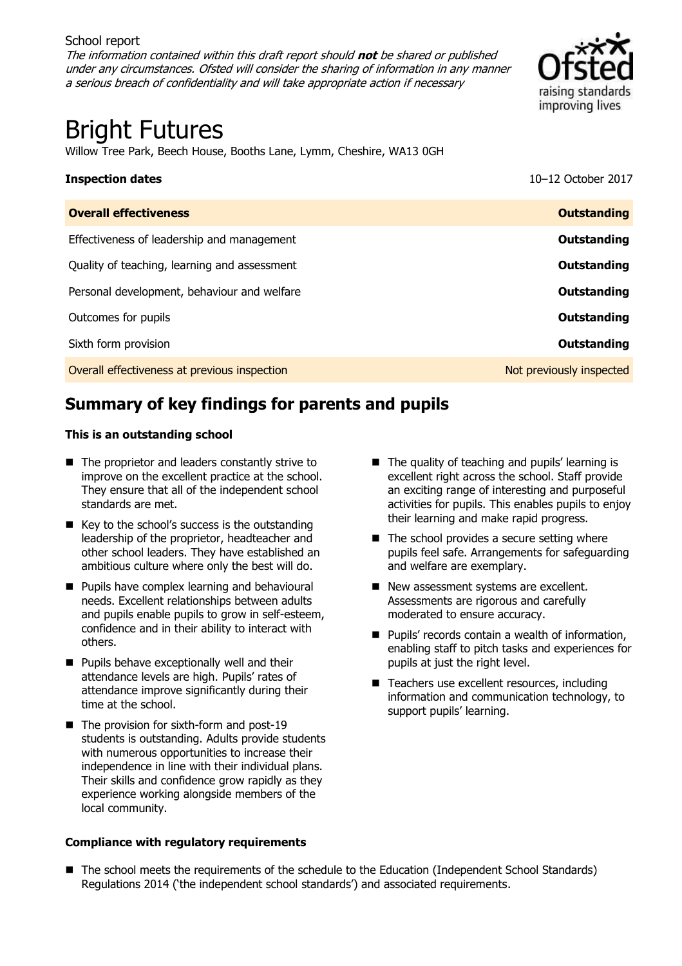#### School report The information contained within this draft report should **not** be shared or published under any circumstances. Ofsted will consider the sharing of information in any manner a serious breach of confidentiality and will take appropriate action if necessary



# Bright Futures

Willow Tree Park, Beech House, Booths Lane, Lymm, Cheshire, WA13 0GH

| <b>Inspection dates</b>                      | 10-12 October 2017       |
|----------------------------------------------|--------------------------|
| <b>Overall effectiveness</b>                 | <b>Outstanding</b>       |
| Effectiveness of leadership and management   | Outstanding              |
| Quality of teaching, learning and assessment | Outstanding              |
| Personal development, behaviour and welfare  | Outstanding              |
| Outcomes for pupils                          | Outstanding              |
| Sixth form provision                         | <b>Outstanding</b>       |
| Overall effectiveness at previous inspection | Not previously inspected |

# **Summary of key findings for parents and pupils**

#### **This is an outstanding school**

- The proprietor and leaders constantly strive to improve on the excellent practice at the school. They ensure that all of the independent school standards are met.
- $\blacksquare$  Key to the school's success is the outstanding leadership of the proprietor, headteacher and other school leaders. They have established an ambitious culture where only the best will do.
- **Pupils have complex learning and behavioural** needs. Excellent relationships between adults and pupils enable pupils to grow in self-esteem, confidence and in their ability to interact with others.
- **Pupils behave exceptionally well and their** attendance levels are high. Pupils' rates of attendance improve significantly during their time at the school.
- $\blacksquare$  The provision for sixth-form and post-19 students is outstanding. Adults provide students with numerous opportunities to increase their independence in line with their individual plans. Their skills and confidence grow rapidly as they experience working alongside members of the local community.

#### **Compliance with regulatory requirements**

- $\blacksquare$  The quality of teaching and pupils' learning is excellent right across the school. Staff provide an exciting range of interesting and purposeful activities for pupils. This enables pupils to enjoy their learning and make rapid progress.
- $\blacksquare$  The school provides a secure setting where pupils feel safe. Arrangements for safeguarding and welfare are exemplary.
- New assessment systems are excellent. Assessments are rigorous and carefully moderated to ensure accuracy.
- **Pupils' records contain a wealth of information,** enabling staff to pitch tasks and experiences for pupils at just the right level.
- Teachers use excellent resources, including information and communication technology, to support pupils' learning.

■ The school meets the requirements of the schedule to the Education (Independent School Standards) Regulations 2014 ('the independent school standards') and associated requirements.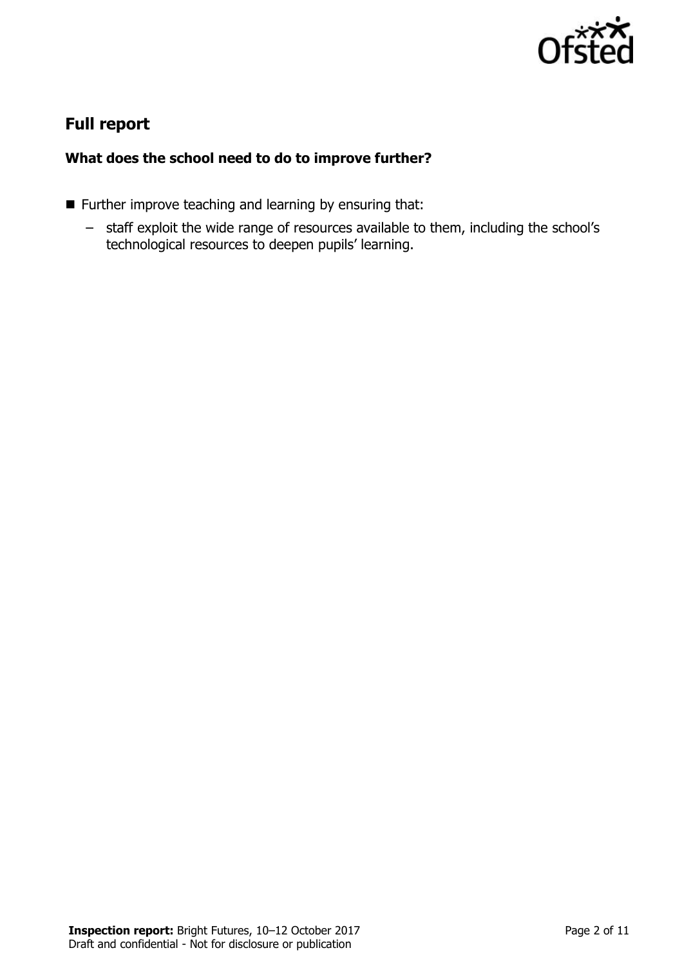

## **Full report**

### **What does the school need to do to improve further?**

- **Further improve teaching and learning by ensuring that:** 
	- staff exploit the wide range of resources available to them, including the school's technological resources to deepen pupils' learning.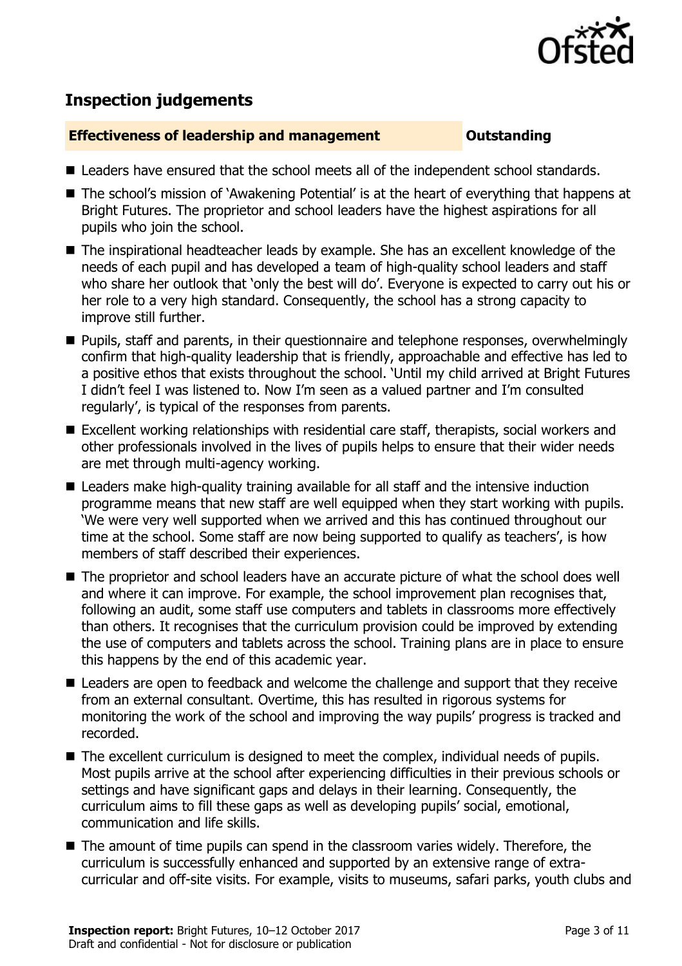

# **Inspection judgements**

#### **Effectiveness of leadership and management COUNGITY COUNTS OUTSTANDING**

- Leaders have ensured that the school meets all of the independent school standards.
- The school's mission of `Awakening Potential' is at the heart of everything that happens at Bright Futures. The proprietor and school leaders have the highest aspirations for all pupils who join the school.
- The inspirational headteacher leads by example. She has an excellent knowledge of the needs of each pupil and has developed a team of high-quality school leaders and staff who share her outlook that 'only the best will do'. Everyone is expected to carry out his or her role to a very high standard. Consequently, the school has a strong capacity to improve still further.
- **Pupils, staff and parents, in their questionnaire and telephone responses, overwhelmingly** confirm that high-quality leadership that is friendly, approachable and effective has led to a positive ethos that exists throughout the school. 'Until my child arrived at Bright Futures I didn't feel I was listened to. Now I'm seen as a valued partner and I'm consulted regularly', is typical of the responses from parents.
- Excellent working relationships with residential care staff, therapists, social workers and other professionals involved in the lives of pupils helps to ensure that their wider needs are met through multi-agency working.
- Leaders make high-quality training available for all staff and the intensive induction programme means that new staff are well equipped when they start working with pupils. 'We were very well supported when we arrived and this has continued throughout our time at the school. Some staff are now being supported to qualify as teachers', is how members of staff described their experiences.
- The proprietor and school leaders have an accurate picture of what the school does well and where it can improve. For example, the school improvement plan recognises that, following an audit, some staff use computers and tablets in classrooms more effectively than others. It recognises that the curriculum provision could be improved by extending the use of computers and tablets across the school. Training plans are in place to ensure this happens by the end of this academic year.
- Leaders are open to feedback and welcome the challenge and support that they receive from an external consultant. Overtime, this has resulted in rigorous systems for monitoring the work of the school and improving the way pupils' progress is tracked and recorded.
- The excellent curriculum is designed to meet the complex, individual needs of pupils. Most pupils arrive at the school after experiencing difficulties in their previous schools or settings and have significant gaps and delays in their learning. Consequently, the curriculum aims to fill these gaps as well as developing pupils' social, emotional, communication and life skills.
- The amount of time pupils can spend in the classroom varies widely. Therefore, the curriculum is successfully enhanced and supported by an extensive range of extracurricular and off-site visits. For example, visits to museums, safari parks, youth clubs and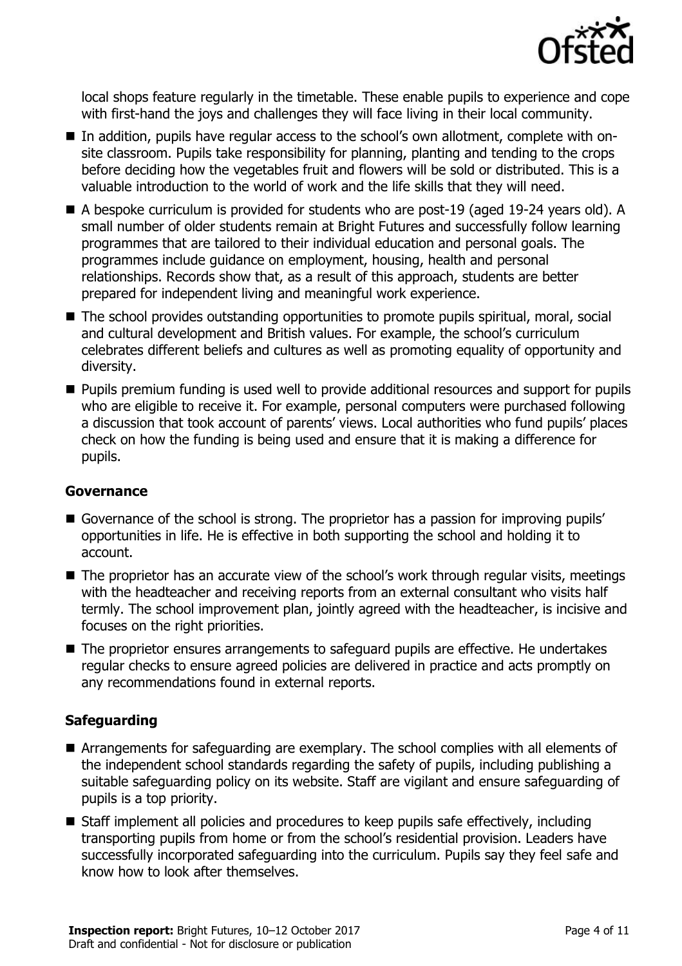

local shops feature regularly in the timetable. These enable pupils to experience and cope with first-hand the joys and challenges they will face living in their local community.

- In addition, pupils have regular access to the school's own allotment, complete with onsite classroom. Pupils take responsibility for planning, planting and tending to the crops before deciding how the vegetables fruit and flowers will be sold or distributed. This is a valuable introduction to the world of work and the life skills that they will need.
- A bespoke curriculum is provided for students who are post-19 (aged 19-24 years old). A small number of older students remain at Bright Futures and successfully follow learning programmes that are tailored to their individual education and personal goals. The programmes include guidance on employment, housing, health and personal relationships. Records show that, as a result of this approach, students are better prepared for independent living and meaningful work experience.
- The school provides outstanding opportunities to promote pupils spiritual, moral, social and cultural development and British values. For example, the school's curriculum celebrates different beliefs and cultures as well as promoting equality of opportunity and diversity.
- **Pupils premium funding is used well to provide additional resources and support for pupils** who are eligible to receive it. For example, personal computers were purchased following a discussion that took account of parents' views. Local authorities who fund pupils' places check on how the funding is being used and ensure that it is making a difference for pupils.

### **Governance**

- Governance of the school is strong. The proprietor has a passion for improving pupils' opportunities in life. He is effective in both supporting the school and holding it to account.
- The proprietor has an accurate view of the school's work through regular visits, meetings with the headteacher and receiving reports from an external consultant who visits half termly. The school improvement plan, jointly agreed with the headteacher, is incisive and focuses on the right priorities.
- The proprietor ensures arrangements to safeguard pupils are effective. He undertakes regular checks to ensure agreed policies are delivered in practice and acts promptly on any recommendations found in external reports.

### **Safeguarding**

- Arrangements for safeguarding are exemplary. The school complies with all elements of the independent school standards regarding the safety of pupils, including publishing a suitable safeguarding policy on its website. Staff are vigilant and ensure safeguarding of pupils is a top priority.
- Staff implement all policies and procedures to keep pupils safe effectively, including transporting pupils from home or from the school's residential provision. Leaders have successfully incorporated safeguarding into the curriculum. Pupils say they feel safe and know how to look after themselves.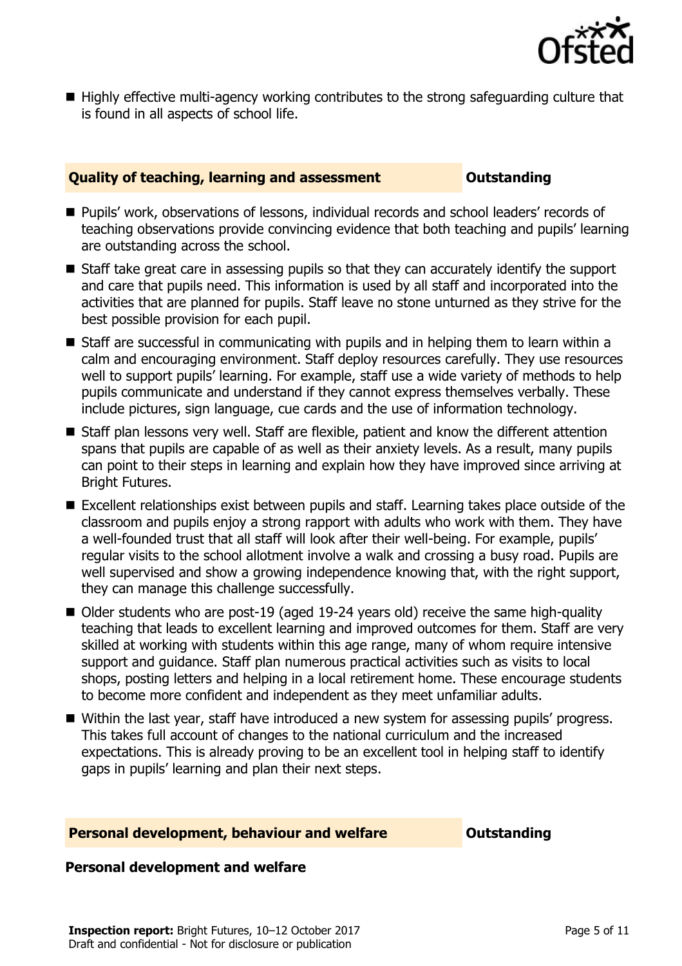

■ Highly effective multi-agency working contributes to the strong safeguarding culture that is found in all aspects of school life.

#### **Quality of teaching, learning and assessment <b>Caucalian** Outstanding

- Pupils' work, observations of lessons, individual records and school leaders' records of teaching observations provide convincing evidence that both teaching and pupils' learning are outstanding across the school.
- Staff take great care in assessing pupils so that they can accurately identify the support and care that pupils need. This information is used by all staff and incorporated into the activities that are planned for pupils. Staff leave no stone unturned as they strive for the best possible provision for each pupil.
- Staff are successful in communicating with pupils and in helping them to learn within a calm and encouraging environment. Staff deploy resources carefully. They use resources well to support pupils' learning. For example, staff use a wide variety of methods to help pupils communicate and understand if they cannot express themselves verbally. These include pictures, sign language, cue cards and the use of information technology.
- Staff plan lessons very well. Staff are flexible, patient and know the different attention spans that pupils are capable of as well as their anxiety levels. As a result, many pupils can point to their steps in learning and explain how they have improved since arriving at Bright Futures.
- Excellent relationships exist between pupils and staff. Learning takes place outside of the classroom and pupils enjoy a strong rapport with adults who work with them. They have a well-founded trust that all staff will look after their well-being. For example, pupils' regular visits to the school allotment involve a walk and crossing a busy road. Pupils are well supervised and show a growing independence knowing that, with the right support, they can manage this challenge successfully.
- Older students who are post-19 (aged 19-24 years old) receive the same high-quality teaching that leads to excellent learning and improved outcomes for them. Staff are very skilled at working with students within this age range, many of whom require intensive support and guidance. Staff plan numerous practical activities such as visits to local shops, posting letters and helping in a local retirement home. These encourage students to become more confident and independent as they meet unfamiliar adults.
- Within the last year, staff have introduced a new system for assessing pupils' progress. This takes full account of changes to the national curriculum and the increased expectations. This is already proving to be an excellent tool in helping staff to identify gaps in pupils' learning and plan their next steps.

#### **Personal development, behaviour and welfare <b>COU COUTS** Outstanding

#### **Personal development and welfare**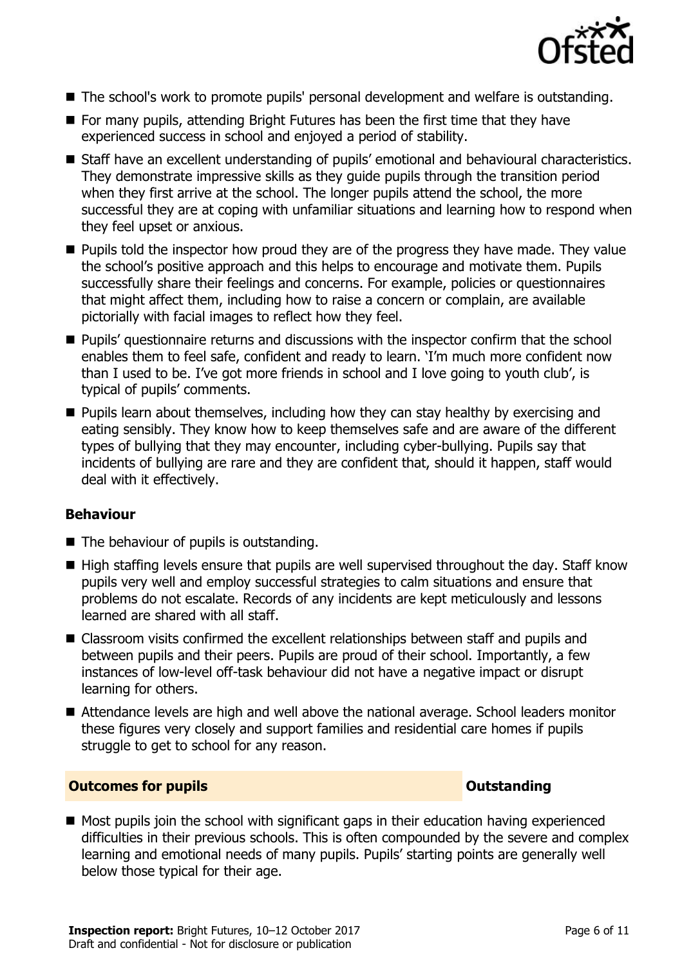

- The school's work to promote pupils' personal development and welfare is outstanding.
- $\blacksquare$  For many pupils, attending Bright Futures has been the first time that they have experienced success in school and enjoyed a period of stability.
- Staff have an excellent understanding of pupils' emotional and behavioural characteristics. They demonstrate impressive skills as they guide pupils through the transition period when they first arrive at the school. The longer pupils attend the school, the more successful they are at coping with unfamiliar situations and learning how to respond when they feel upset or anxious.
- **Pupils told the inspector how proud they are of the progress they have made. They value** the school's positive approach and this helps to encourage and motivate them. Pupils successfully share their feelings and concerns. For example, policies or questionnaires that might affect them, including how to raise a concern or complain, are available pictorially with facial images to reflect how they feel.
- **Pupils'** questionnaire returns and discussions with the inspector confirm that the school enables them to feel safe, confident and ready to learn. 'I'm much more confident now than I used to be. I've got more friends in school and I love going to youth club', is typical of pupils' comments.
- **Pupils learn about themselves, including how they can stay healthy by exercising and** eating sensibly. They know how to keep themselves safe and are aware of the different types of bullying that they may encounter, including cyber-bullying. Pupils say that incidents of bullying are rare and they are confident that, should it happen, staff would deal with it effectively.

### **Behaviour**

- The behaviour of pupils is outstanding.
- High staffing levels ensure that pupils are well supervised throughout the day. Staff know pupils very well and employ successful strategies to calm situations and ensure that problems do not escalate. Records of any incidents are kept meticulously and lessons learned are shared with all staff.
- Classroom visits confirmed the excellent relationships between staff and pupils and between pupils and their peers. Pupils are proud of their school. Importantly, a few instances of low-level off-task behaviour did not have a negative impact or disrupt learning for others.
- Attendance levels are high and well above the national average. School leaders monitor these figures very closely and support families and residential care homes if pupils struggle to get to school for any reason.

#### **Outcomes for pupils Outstanding**

 $\blacksquare$  Most pupils join the school with significant gaps in their education having experienced difficulties in their previous schools. This is often compounded by the severe and complex learning and emotional needs of many pupils. Pupils' starting points are generally well below those typical for their age.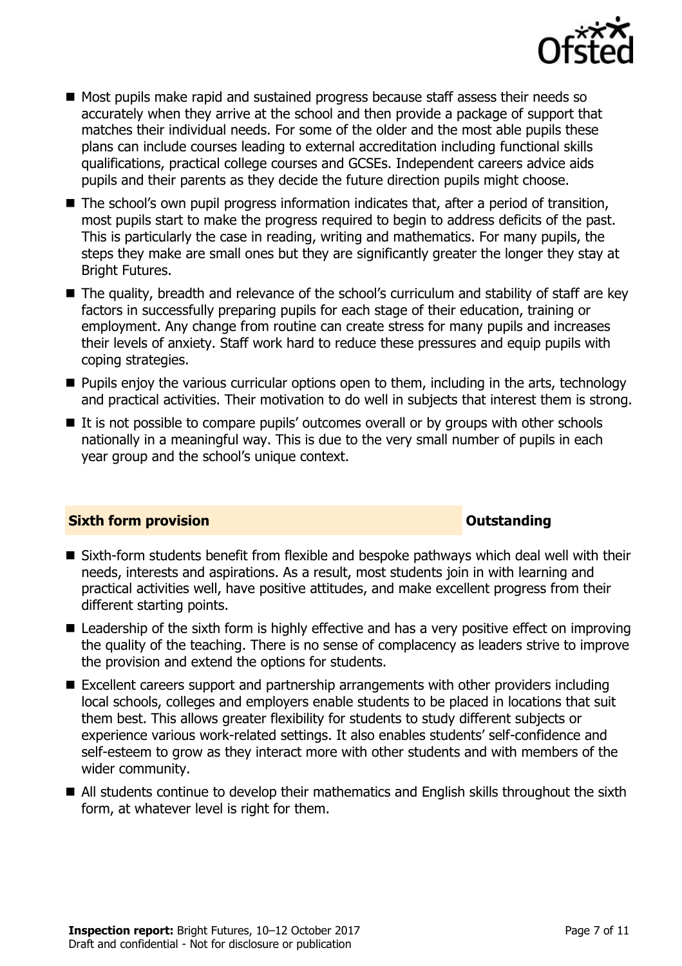

- Most pupils make rapid and sustained progress because staff assess their needs so accurately when they arrive at the school and then provide a package of support that matches their individual needs. For some of the older and the most able pupils these plans can include courses leading to external accreditation including functional skills qualifications, practical college courses and GCSEs. Independent careers advice aids pupils and their parents as they decide the future direction pupils might choose.
- The school's own pupil progress information indicates that, after a period of transition, most pupils start to make the progress required to begin to address deficits of the past. This is particularly the case in reading, writing and mathematics. For many pupils, the steps they make are small ones but they are significantly greater the longer they stay at Bright Futures.
- The quality, breadth and relevance of the school's curriculum and stability of staff are key factors in successfully preparing pupils for each stage of their education, training or employment. Any change from routine can create stress for many pupils and increases their levels of anxiety. Staff work hard to reduce these pressures and equip pupils with coping strategies.
- **Pupils enjoy the various curricular options open to them, including in the arts, technology** and practical activities. Their motivation to do well in subjects that interest them is strong.
- It is not possible to compare pupils' outcomes overall or by groups with other schools nationally in a meaningful way. This is due to the very small number of pupils in each year group and the school's unique context.

### **Sixth form provision CONSISTER SIXTERS IN A SIXTER SIXTER SIXTER SIXTERS IN A SIXTER SIXTER SIXTERS IN A SIXTER**

- Sixth-form students benefit from flexible and bespoke pathways which deal well with their needs, interests and aspirations. As a result, most students join in with learning and practical activities well, have positive attitudes, and make excellent progress from their different starting points.
- Leadership of the sixth form is highly effective and has a very positive effect on improving the quality of the teaching. There is no sense of complacency as leaders strive to improve the provision and extend the options for students.
- Excellent careers support and partnership arrangements with other providers including local schools, colleges and employers enable students to be placed in locations that suit them best. This allows greater flexibility for students to study different subjects or experience various work-related settings. It also enables students' self-confidence and self-esteem to grow as they interact more with other students and with members of the wider community.
- All students continue to develop their mathematics and English skills throughout the sixth form, at whatever level is right for them.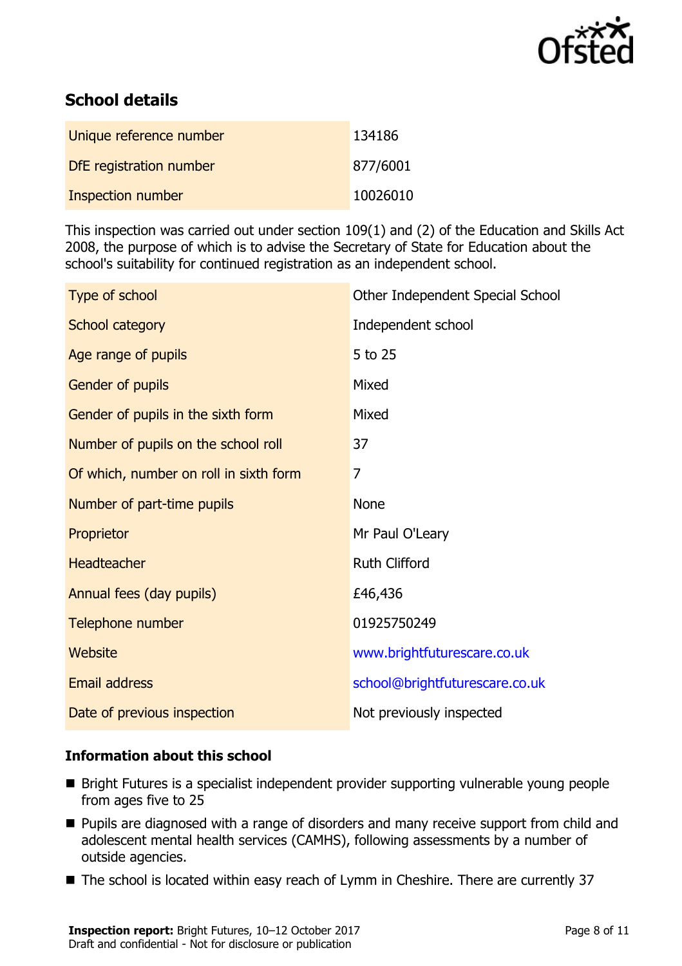

# **School details**

| Unique reference number  | 134186   |
|--------------------------|----------|
| DfE registration number  | 877/6001 |
| <b>Inspection number</b> | 10026010 |

This inspection was carried out under section 109(1) and (2) of the Education and Skills Act 2008, the purpose of which is to advise the Secretary of State for Education about the school's suitability for continued registration as an independent school.

| Type of school                         | Other Independent Special School |
|----------------------------------------|----------------------------------|
| School category                        | Independent school               |
| Age range of pupils                    | 5 to 25                          |
| Gender of pupils                       | Mixed                            |
| Gender of pupils in the sixth form     | Mixed                            |
| Number of pupils on the school roll    | 37                               |
| Of which, number on roll in sixth form | 7                                |
| Number of part-time pupils             | <b>None</b>                      |
| Proprietor                             | Mr Paul O'Leary                  |
| <b>Headteacher</b>                     | <b>Ruth Clifford</b>             |
| Annual fees (day pupils)               | £46,436                          |
| Telephone number                       | 01925750249                      |
| <b>Website</b>                         | www.brightfuturescare.co.uk      |
| <b>Email address</b>                   | school@brightfuturescare.co.uk   |
| Date of previous inspection            | Not previously inspected         |

### **Information about this school**

- Bright Futures is a specialist independent provider supporting vulnerable young people from ages five to 25
- **Pupils are diagnosed with a range of disorders and many receive support from child and** adolescent mental health services (CAMHS), following assessments by a number of outside agencies.
- The school is located within easy reach of Lymm in Cheshire. There are currently 37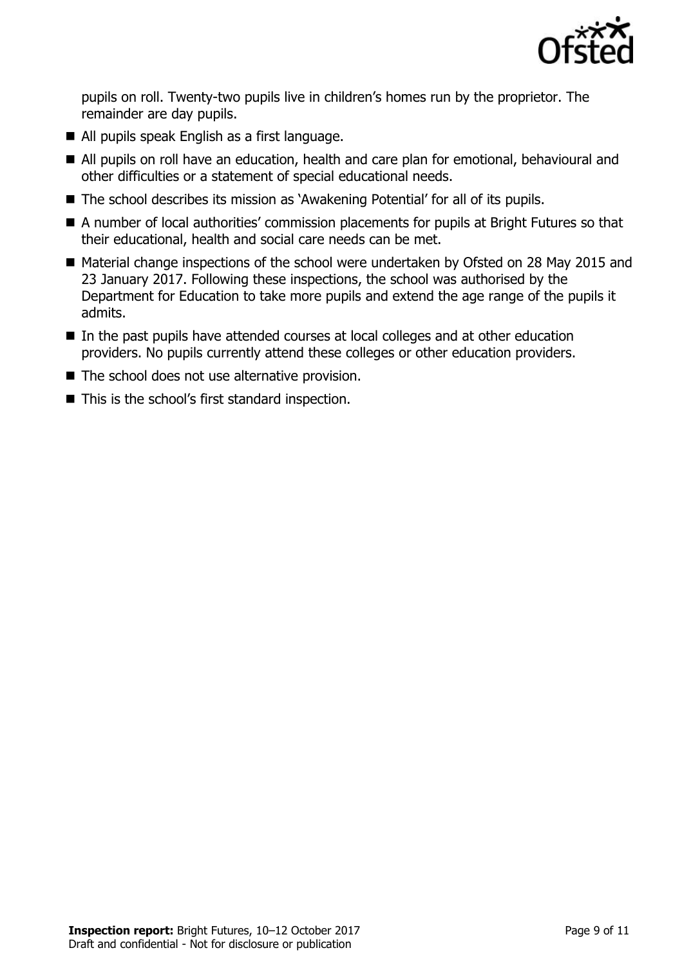

pupils on roll. Twenty-two pupils live in children's homes run by the proprietor. The remainder are day pupils.

- All pupils speak English as a first language.
- All pupils on roll have an education, health and care plan for emotional, behavioural and other difficulties or a statement of special educational needs.
- The school describes its mission as `Awakening Potential' for all of its pupils.
- A number of local authorities' commission placements for pupils at Bright Futures so that their educational, health and social care needs can be met.
- Material change inspections of the school were undertaken by Ofsted on 28 May 2015 and 23 January 2017. Following these inspections, the school was authorised by the Department for Education to take more pupils and extend the age range of the pupils it admits.
- In the past pupils have attended courses at local colleges and at other education providers. No pupils currently attend these colleges or other education providers.
- The school does not use alternative provision.
- This is the school's first standard inspection.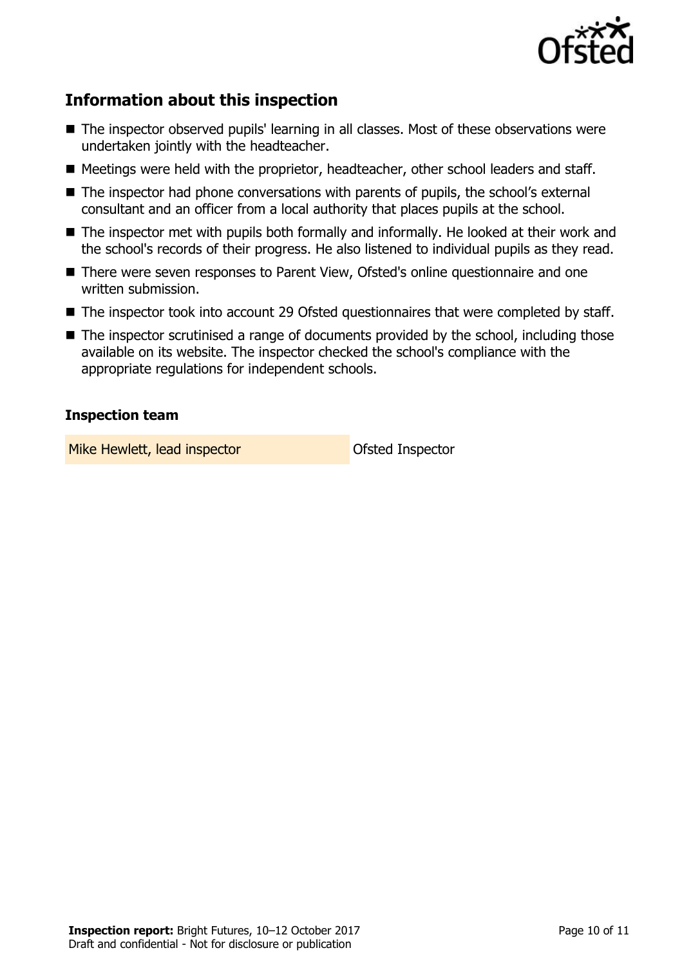

# **Information about this inspection**

- The inspector observed pupils' learning in all classes. Most of these observations were undertaken jointly with the headteacher.
- Meetings were held with the proprietor, headteacher, other school leaders and staff.
- The inspector had phone conversations with parents of pupils, the school's external consultant and an officer from a local authority that places pupils at the school.
- The inspector met with pupils both formally and informally. He looked at their work and the school's records of their progress. He also listened to individual pupils as they read.
- There were seven responses to Parent View, Ofsted's online questionnaire and one written submission.
- The inspector took into account 29 Ofsted questionnaires that were completed by staff.
- The inspector scrutinised a range of documents provided by the school, including those available on its website. The inspector checked the school's compliance with the appropriate regulations for independent schools.

### **Inspection team**

Mike Hewlett, lead inspector **Nike Hewlett**, lead inspector